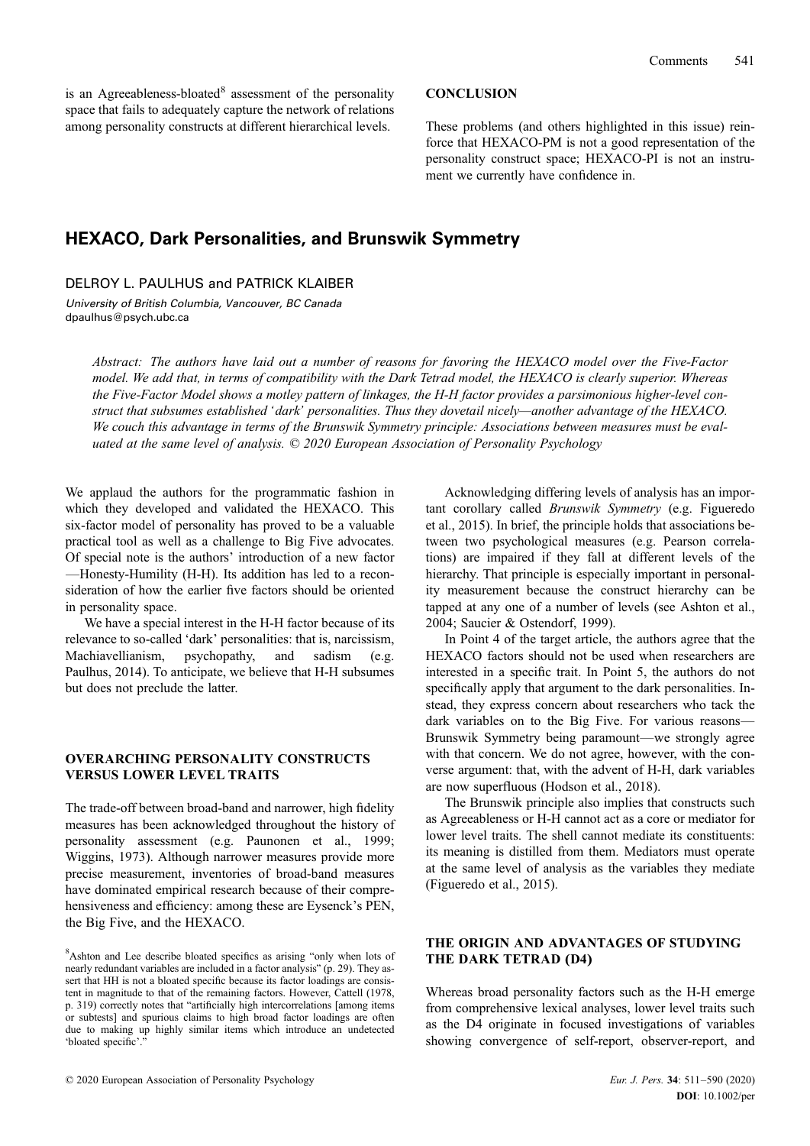is an Agreeableness-bloated<sup>8</sup> assessment of the personality space that fails to adequately capture the network of relations among personality constructs at different hierarchical levels.

#### **CONCLUSION**

These problems (and others highlighted in this issue) reinforce that HEXACO-PM is not a good representation of the personality construct space; HEXACO-PI is not an instrument we currently have confidence in.

## HEXACO, Dark Personalities, and Brunswik Symmetry

DELROY L. PAULHUS and PATRICK KLAIBER

University of British Columbia, Vancouver, BC Canada dpaulhus@psych.ubc.ca

Abstract: The authors have laid out a number of reasons for favoring the HEXACO model over the Five-Factor model. We add that, in terms of compatibility with the Dark Tetrad model, the HEXACO is clearly superior. Whereas the Five-Factor Model shows a motley pattern of linkages, the H-H factor provides a parsimonious higher-level construct that subsumes established 'dark' personalities. Thus they dovetail nicely—another advantage of the HEXACO. We couch this advantage in terms of the Brunswik Symmetry principle: Associations between measures must be evaluated at the same level of analysis. © 2020 European Association of Personality Psychology

We applaud the authors for the programmatic fashion in which they developed and validated the HEXACO. This six-factor model of personality has proved to be a valuable practical tool as well as a challenge to Big Five advocates. Of special note is the authors' introduction of a new factor —Honesty-Humility (H-H). Its addition has led to a reconsideration of how the earlier five factors should be oriented in personality space.

We have a special interest in the H-H factor because of its relevance to so-called 'dark' personalities: that is, narcissism, Machiavellianism, psychopathy, and sadism (e.g. Paulhus, 2014). To anticipate, we believe that H-H subsumes but does not preclude the latter.

## OVERARCHING PERSONALITY CONSTRUCTS VERSUS LOWER LEVEL TRAITS

The trade-off between broad-band and narrower, high fidelity measures has been acknowledged throughout the history of personality assessment (e.g. Paunonen et al., 1999; Wiggins, 1973). Although narrower measures provide more precise measurement, inventories of broad-band measures have dominated empirical research because of their comprehensiveness and efficiency: among these are Eysenck's PEN, the Big Five, and the HEXACO.

8 Ashton and Lee describe bloated specifics as arising "only when lots of nearly redundant variables are included in a factor analysis" (p. 29). They assert that HH is not a bloated specific because its factor loadings are consistent in magnitude to that of the remaining factors. However, Cattell (1978, p. 319) correctly notes that "artificially high intercorrelations [among items or subtests] and spurious claims to high broad factor loadings are often due to making up highly similar items which introduce an undetected 'bloated specific'.

Acknowledging differing levels of analysis has an important corollary called Brunswik Symmetry (e.g. Figueredo et al., 2015). In brief, the principle holds that associations between two psychological measures (e.g. Pearson correlations) are impaired if they fall at different levels of the hierarchy. That principle is especially important in personality measurement because the construct hierarchy can be tapped at any one of a number of levels (see Ashton et al., 2004; Saucier & Ostendorf, 1999).

In Point 4 of the target article, the authors agree that the HEXACO factors should not be used when researchers are interested in a specific trait. In Point 5, the authors do not specifically apply that argument to the dark personalities. Instead, they express concern about researchers who tack the dark variables on to the Big Five. For various reasons— Brunswik Symmetry being paramount—we strongly agree with that concern. We do not agree, however, with the converse argument: that, with the advent of H-H, dark variables are now superfluous (Hodson et al., 2018).

The Brunswik principle also implies that constructs such as Agreeableness or H-H cannot act as a core or mediator for lower level traits. The shell cannot mediate its constituents: its meaning is distilled from them. Mediators must operate at the same level of analysis as the variables they mediate (Figueredo et al., 2015).

## THE ORIGIN AND ADVANTAGES OF STUDYING THE DARK TETRAD (D4)

Whereas broad personality factors such as the H-H emerge from comprehensive lexical analyses, lower level traits such as the D4 originate in focused investigations of variables showing convergence of self-report, observer-report, and